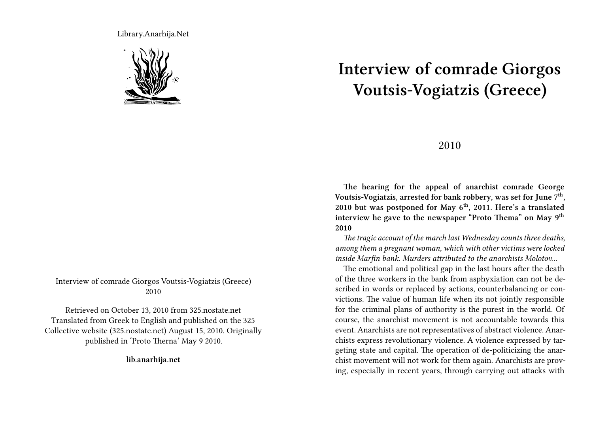Library.Anarhija.Net



Interview of comrade Giorgos Voutsis-Vogiatzis (Greece) 2010

Retrieved on October 13, 2010 from 325.nostate.net Translated from Greek to English and published on the 325 Collective website (325.nostate.net) August 15, 2010. Originally published in 'Proto Therna' May 9 2010.

**lib.anarhija.net**

## **Interview of comrade Giorgos Voutsis-Vogiatzis (Greece)**

## 2010

**The hearing for the appeal of anarchist comrade George Voutsis-Vogiatzis, arrested for bank robbery, was set for June 7th , 2010 but was postponed for May 6th, 2011. Here's a translated interview he gave to the newspaper "Proto Thema" on May 9th 2010**

*The tragic account of the march last Wednesday counts three deaths, among them a pregnant woman, which with other victims were locked inside Marfin bank. Murders attributed to the anarchists Molotov…*

The emotional and political gap in the last hours after the death of the three workers in the bank from asphyxiation can not be described in words or replaced by actions, counterbalancing or convictions. The value of human life when its not jointly responsible for the criminal plans of authority is the purest in the world. Of course, the anarchist movement is not accountable towards this event. Anarchists are not representatives of abstract violence. Anarchists express revolutionary violence. A violence expressed by targeting state and capital. The operation of de-politicizing the anarchist movement will not work for them again. Anarchists are proving, especially in recent years, through carrying out attacks with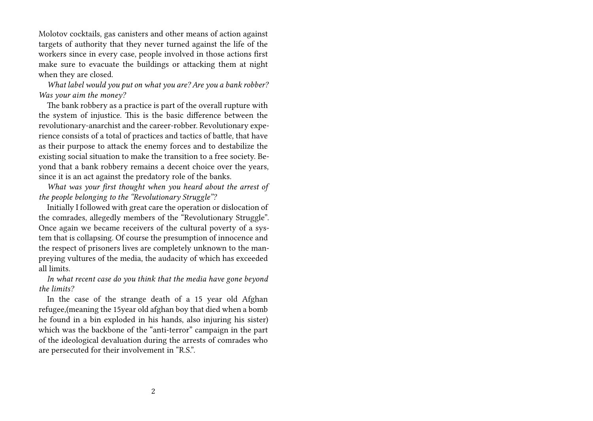Molotov cocktails, gas canisters and other means of action against targets of authority that they never turned against the life of the workers since in every case, people involved in those actions first make sure to evacuate the buildings or attacking them at night when they are closed.

*What label would you put on what you are? Are you a bank robber? Was your aim the money?*

The bank robbery as a practice is part of the overall rupture with the system of injustice. This is the basic difference between the revolutionary-anarchist and the career-robber. Revolutionary experience consists of a total of practices and tactics of battle, that have as their purpose to attack the enemy forces and to destabilize the existing social situation to make the transition to a free society. Beyond that a bank robbery remains a decent choice over the years, since it is an act against the predatory role of the banks.

*What was your first thought when you heard about the arrest of the people belonging to the "Revolutionary Struggle"?*

Initially I followed with great care the operation or dislocation of the comrades, allegedly members of the "Revolutionary Struggle". Once again we became receivers of the cultural poverty of a system that is collapsing. Of course the presumption of innocence and the respect of prisoners lives are completely unknown to the manpreying vultures of the media, the audacity of which has exceeded all limits.

*In what recent case do you think that the media have gone beyond the limits?*

In the case of the strange death of a 15 year old Afghan refugee,(meaning the 15year old afghan boy that died when a bomb he found in a bin exploded in his hands, also injuring his sister) which was the backbone of the "anti-terror" campaign in the part of the ideological devaluation during the arrests of comrades who are persecuted for their involvement in "R.S.".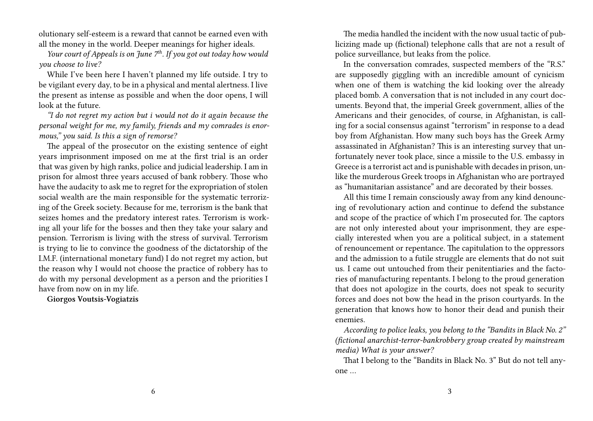olutionary self-esteem is a reward that cannot be earned even with all the money in the world. Deeper meanings for higher ideals.

*Your court of Appeals is on June 7th. If you got out today how would you choose to live?*

While I've been here I haven't planned my life outside. I try to be vigilant every day, to be in a physical and mental alertness. I live the present as intense as possible and when the door opens, I will look at the future.

*"I do not regret my action but i would not do it again because the personal weight for me, my family, friends and my comrades is enormous," you said. Is this a sign of remorse?*

The appeal of the prosecutor on the existing sentence of eight years imprisonment imposed on me at the first trial is an order that was given by high ranks, police and judicial leadership. I am in prison for almost three years accused of bank robbery. Those who have the audacity to ask me to regret for the expropriation of stolen social wealth are the main responsible for the systematic terrorizing of the Greek society. Because for me, terrorism is the bank that seizes homes and the predatory interest rates. Terrorism is working all your life for the bosses and then they take your salary and pension. Terrorism is living with the stress of survival. Terrorism is trying to lie to convince the goodness of the dictatorship of the I.M.F. (international monetary fund) I do not regret my action, but the reason why I would not choose the practice of robbery has to do with my personal development as a person and the priorities I have from now on in my life.

**Giorgos Voutsis-Vogiatzis**

The media handled the incident with the now usual tactic of publicizing made up (fictional) telephone calls that are not a result of police surveillance, but leaks from the police.

In the conversation comrades, suspected members of the "R.S." are supposedly giggling with an incredible amount of cynicism when one of them is watching the kid looking over the already placed bomb. A conversation that is not included in any court documents. Beyond that, the imperial Greek government, allies of the Americans and their genocides, of course, in Afghanistan, is calling for a social consensus against "terrorism" in response to a dead boy from Afghanistan. How many such boys has the Greek Army assassinated in Afghanistan? This is an interesting survey that unfortunately never took place, since a missile to the U.S. embassy in Greece is a terrorist act and is punishable with decades in prison, unlike the murderous Greek troops in Afghanistan who are portrayed as "humanitarian assistance" and are decorated by their bosses.

All this time I remain consciously away from any kind denouncing of revolutionary action and continue to defend the substance and scope of the practice of which I'm prosecuted for. The captors are not only interested about your imprisonment, they are especially interested when you are a political subject, in a statement of renouncement or repentance. The capitulation to the oppressors and the admission to a futile struggle are elements that do not suit us. I came out untouched from their penitentiaries and the factories of manufacturing repentants. I belong to the proud generation that does not apologize in the courts, does not speak to security forces and does not bow the head in the prison courtyards. In the generation that knows how to honor their dead and punish their enemies.

*According to police leaks, you belong to the "Bandits in Black No. 2" (fictional anarchist-terror-bankrobbery group created by mainstream media) What is your answer?*

That I belong to the "Bandits in Black No. 3" But do not tell anyone …